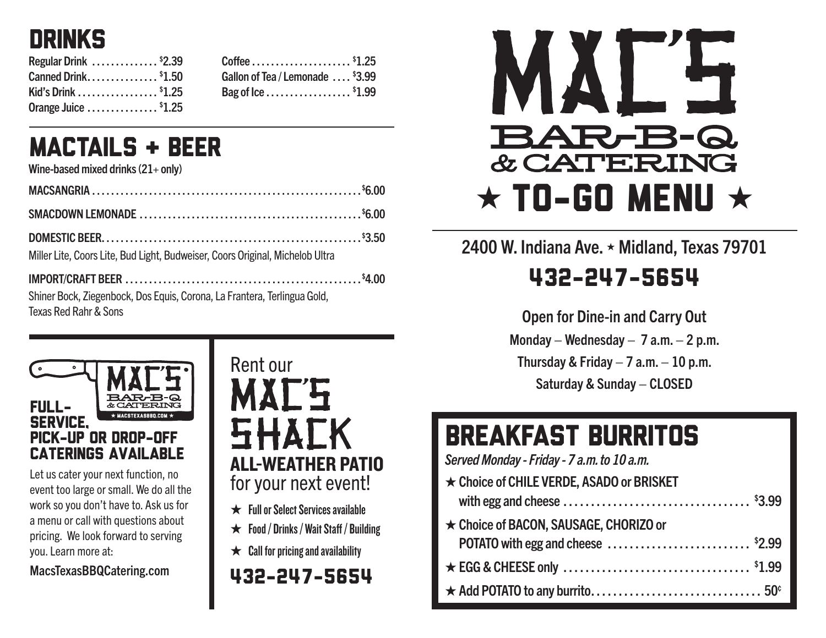

| Regular Drink \$2.39            |  |
|---------------------------------|--|
| Canned Drink <sup>\$</sup> 1.50 |  |
| Kid's Drink \$1.25              |  |
| Orange Juice $\ldots$ \$1.25    |  |

| Gallon of Tea / Lemonade <sup>\$</sup> 3.99 |  |
|---------------------------------------------|--|
| Bag of Ice \$1.99                           |  |

#### MACTAILS & BEER

Wine-based mixed drinks  $(21+$  only)

| Miller Lite, Coors Lite, Bud Light, Budweiser, Coors Original, Michelob Ultra |  |
|-------------------------------------------------------------------------------|--|
|                                                                               |  |

Shiner Bock, Ziegenbock, Dos Equis, Corona, La Frantera, Terlingua Gold, Texas Red Rahr & Sons



Let us cater your next function, no event too large or small. We do all the work so you don't have to. Ask us for a menu or call with questions about pricing. We look forward to serving you. Learn more at:

MacsTexasBBQCatering.com



- ★ FullorSelectServicesavailable
- $\star$  Food / Drinks / Wait Staff / Building
- $\star$  Call for pricing and availability

#### 432-247-5654



#### 2400 W. Indiana Ave. ★ Midland, Texas 79701 432-247-5654

Open for Dine-in and Carry Out Monday – Wednesday –  $7$  a.m. – 2 p.m. Thursday & Friday  $-7$  a.m.  $-10$  p.m. Saturday & Sunday – CLOSED

## BREAKFAST BURRITOS

*Served Monday - Friday - 7 a.m. to 10 a.m.*

| ★ Choice of CHILE VERDE, ASADO or BRISKET |  |
|-------------------------------------------|--|
|                                           |  |
| ★ Choice of BACON, SAUSAGE, CHORIZO or    |  |
|                                           |  |
|                                           |  |
|                                           |  |